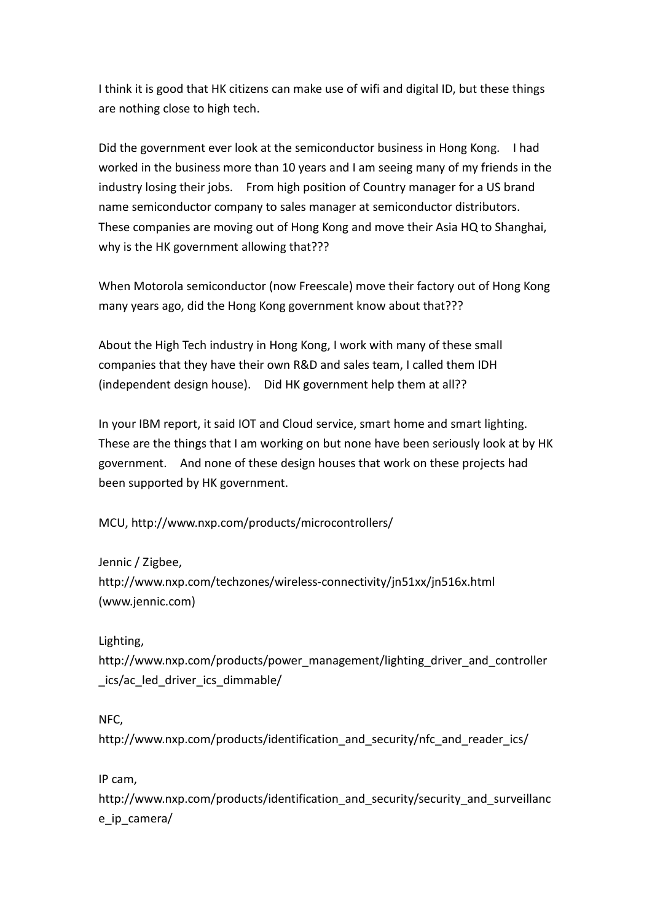I think it is good that HK citizens can make use of wifi and digital ID, but these things are nothing close to high tech.

Did the government ever look at the semiconductor business in Hong Kong. I had worked in the business more than 10 years and I am seeing many of my friends in the industry losing their jobs. From high position of Country manager for a US brand name semiconductor company to sales manager at semiconductor distributors. These companies are moving out of Hong Kong and move their Asia HQ to Shanghai, why is the HK government allowing that???

When Motorola semiconductor (now Freescale) move their factory out of Hong Kong many years ago, did the Hong Kong government know about that???

About the High Tech industry in Hong Kong, I work with many of these small companies that they have their own R&D and sales team, I called them IDH (independent design house). Did HK government help them at all??

In your IBM report, it said IOT and Cloud service, smart home and smart lighting. These are the things that I am working on but none have been seriously look at by HK government. And none of these design houses that work on these projects had been supported by HK government.

MCU, http://www.nxp.com/products/microcontrollers/

Jennic / Zigbee, http://www.nxp.com/techzones/wireless-connectivity/jn51xx/jn516x.html (www.jennic.com)

Lighting,

http://www.nxp.com/products/power\_management/lighting\_driver\_and\_controller \_ics/ac\_led\_driver\_ics\_dimmable/

NFC,

http://www.nxp.com/products/identification\_and\_security/nfc\_and\_reader\_ics/

IP cam,

http://www.nxp.com/products/identification and security/security and surveillanc e ip camera/